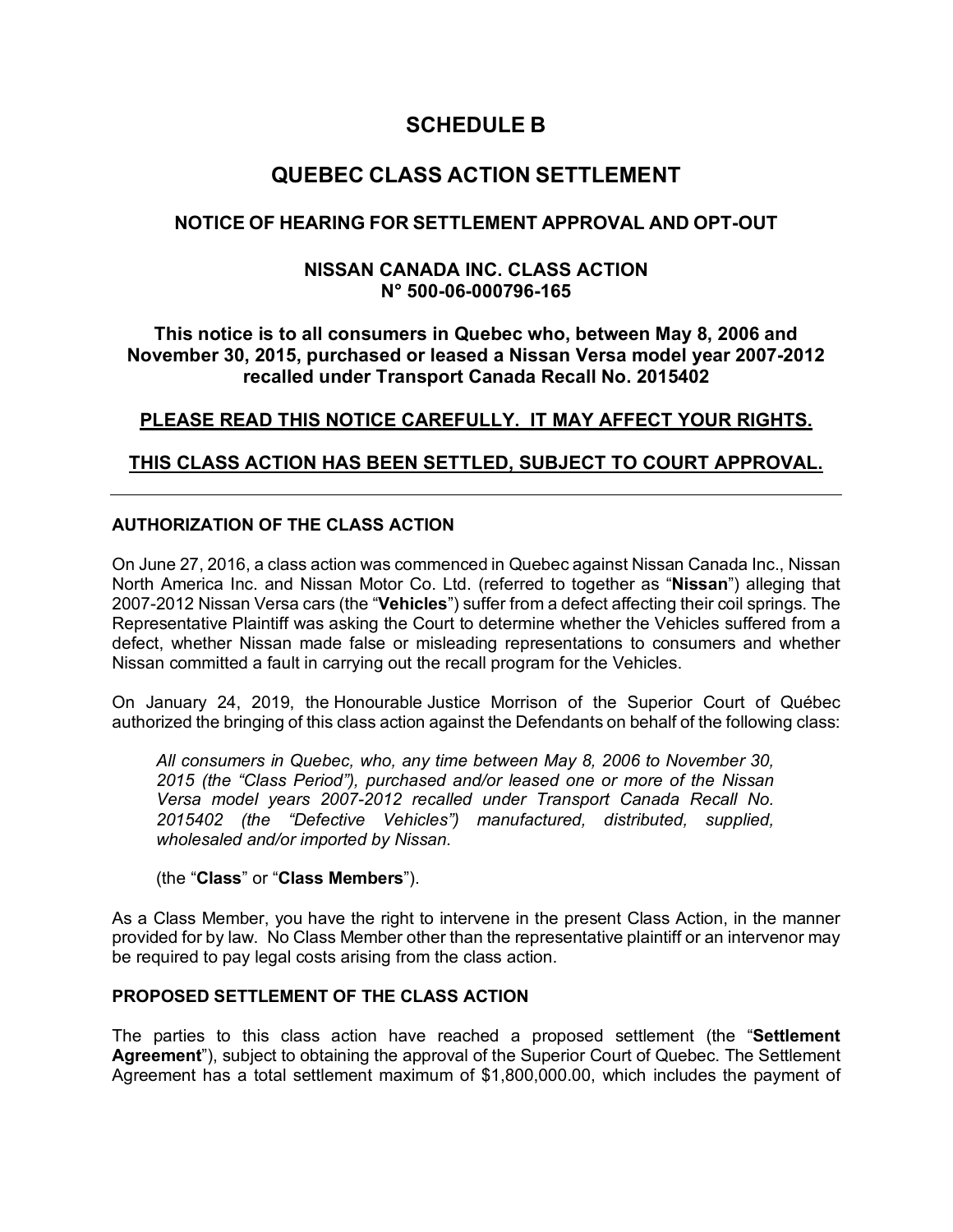# **SCHEDULE B**

# **QUEBEC CLASS ACTION SETTLEMENT**

### **NOTICE OF HEARING FOR SETTLEMENT APPROVAL AND OPT-OUT**

### **NISSAN CANADA INC. CLASS ACTION N° 500-06-000796-165**

### **This notice is to all consumers in Quebec who, between May 8, 2006 and November 30, 2015, purchased or leased a Nissan Versa model year 2007-2012 recalled under Transport Canada Recall No. 2015402**

## **PLEASE READ THIS NOTICE CAREFULLY. IT MAY AFFECT YOUR RIGHTS.**

### **THIS CLASS ACTION HAS BEEN SETTLED, SUBJECT TO COURT APPROVAL.**

### **AUTHORIZATION OF THE CLASS ACTION**

On June 27, 2016, a class action was commenced in Quebec against Nissan Canada Inc., Nissan North America Inc. and Nissan Motor Co. Ltd. (referred to together as "**Nissan**") alleging that 2007-2012 Nissan Versa cars (the "**Vehicles**") suffer from a defect affecting their coil springs. The Representative Plaintiff was asking the Court to determine whether the Vehicles suffered from a defect, whether Nissan made false or misleading representations to consumers and whether Nissan committed a fault in carrying out the recall program for the Vehicles.

On January 24, 2019, the Honourable Justice Morrison of the Superior Court of Québec authorized the bringing of this class action against the Defendants on behalf of the following class:

*All consumers in Quebec, who, any time between May 8, 2006 to November 30, 2015 (the "Class Period"), purchased and/or leased one or more of the Nissan Versa model years 2007-2012 recalled under Transport Canada Recall No. 2015402 (the "Defective Vehicles") manufactured, distributed, supplied, wholesaled and/or imported by Nissan.*

#### (the "**Class**" or "**Class Members**").

As a Class Member, you have the right to intervene in the present Class Action, in the manner provided for by law. No Class Member other than the representative plaintiff or an intervenor may be required to pay legal costs arising from the class action.

### **PROPOSED SETTLEMENT OF THE CLASS ACTION**

The parties to this class action have reached a proposed settlement (the "**Settlement Agreement**"), subject to obtaining the approval of the Superior Court of Quebec. The Settlement Agreement has a total settlement maximum of \$1,800,000.00, which includes the payment of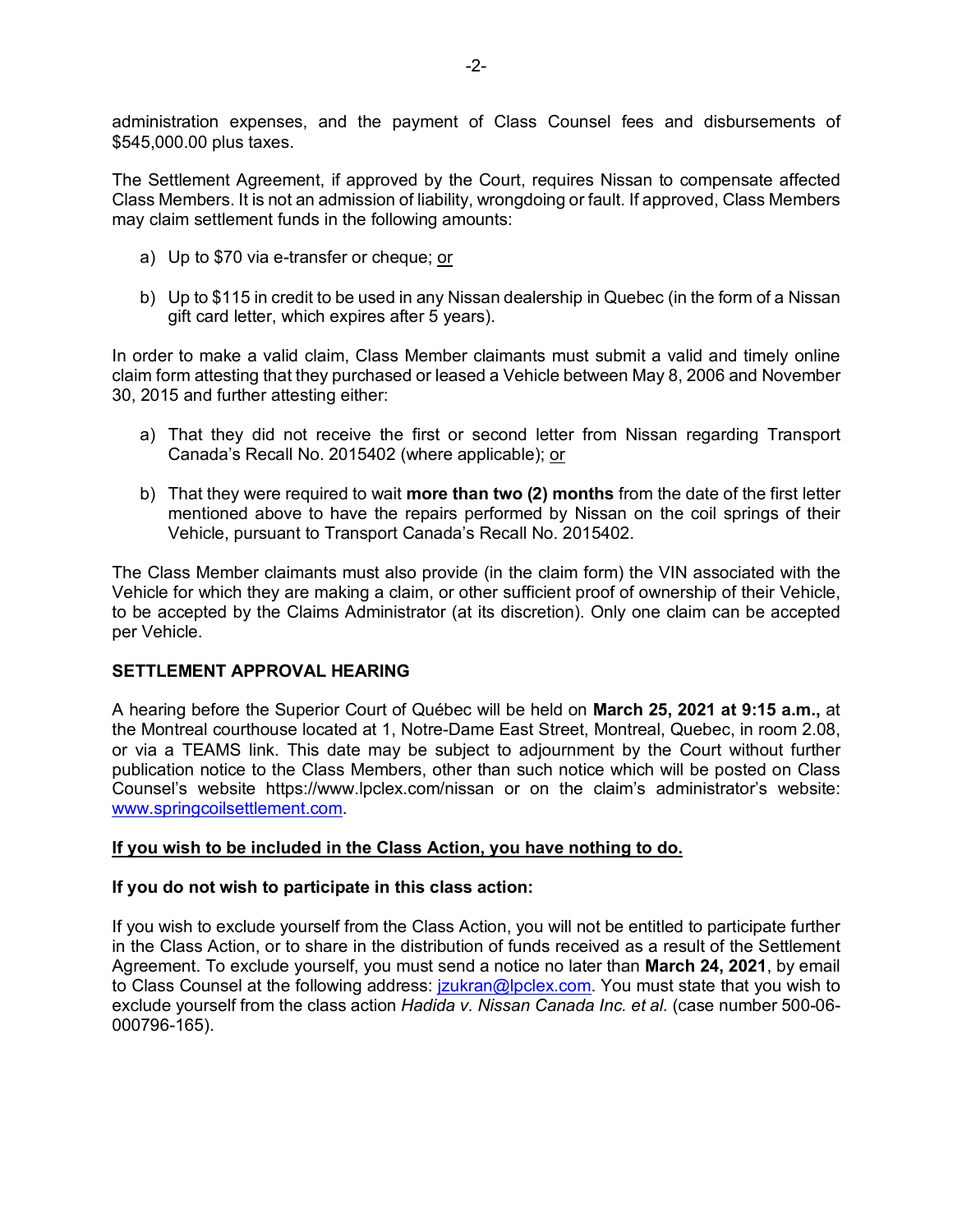administration expenses, and the payment of Class Counsel fees and disbursements of \$545,000.00 plus taxes.

The Settlement Agreement, if approved by the Court, requires Nissan to compensate affected Class Members. It is not an admission of liability, wrongdoing or fault. If approved, Class Members may claim settlement funds in the following amounts:

- a) Up to \$70 via e-transfer or cheque; or
- b) Up to \$115 in credit to be used in any Nissan dealership in Quebec (in the form of a Nissan gift card letter, which expires after 5 years).

In order to make a valid claim, Class Member claimants must submit a valid and timely online claim form attesting that they purchased or leased a Vehicle between May 8, 2006 and November 30, 2015 and further attesting either:

- a) That they did not receive the first or second letter from Nissan regarding Transport Canada's Recall No. 2015402 (where applicable); or
- b) That they were required to wait **more than two (2) months** from the date of the first letter mentioned above to have the repairs performed by Nissan on the coil springs of their Vehicle, pursuant to Transport Canada's Recall No. 2015402.

The Class Member claimants must also provide (in the claim form) the VIN associated with the Vehicle for which they are making a claim, or other sufficient proof of ownership of their Vehicle, to be accepted by the Claims Administrator (at its discretion). Only one claim can be accepted per Vehicle.

### **SETTLEMENT APPROVAL HEARING**

A hearing before the Superior Court of Québec will be held on **March 25, 2021 at 9:15 a.m.,** at the Montreal courthouse located at 1, Notre-Dame East Street, Montreal, Quebec, in room 2.08, or via a TEAMS link. This date may be subject to adjournment by the Court without further publication notice to the Class Members, other than such notice which will be posted on Class Counsel's website https://www.lpclex.com/nissan or on the claim's administrator's website: www.springcoilsettlement.com.

#### **If you wish to be included in the Class Action, you have nothing to do.**

#### **If you do not wish to participate in this class action:**

If you wish to exclude yourself from the Class Action, you will not be entitled to participate further in the Class Action, or to share in the distribution of funds received as a result of the Settlement Agreement. To exclude yourself, you must send a notice no later than **March 24, 2021**, by email to Class Counsel at the following address: *jzukran@lpclex.com.* You must state that you wish to exclude yourself from the class action *Hadida v. Nissan Canada Inc. et al.* (case number 500-06- 000796-165).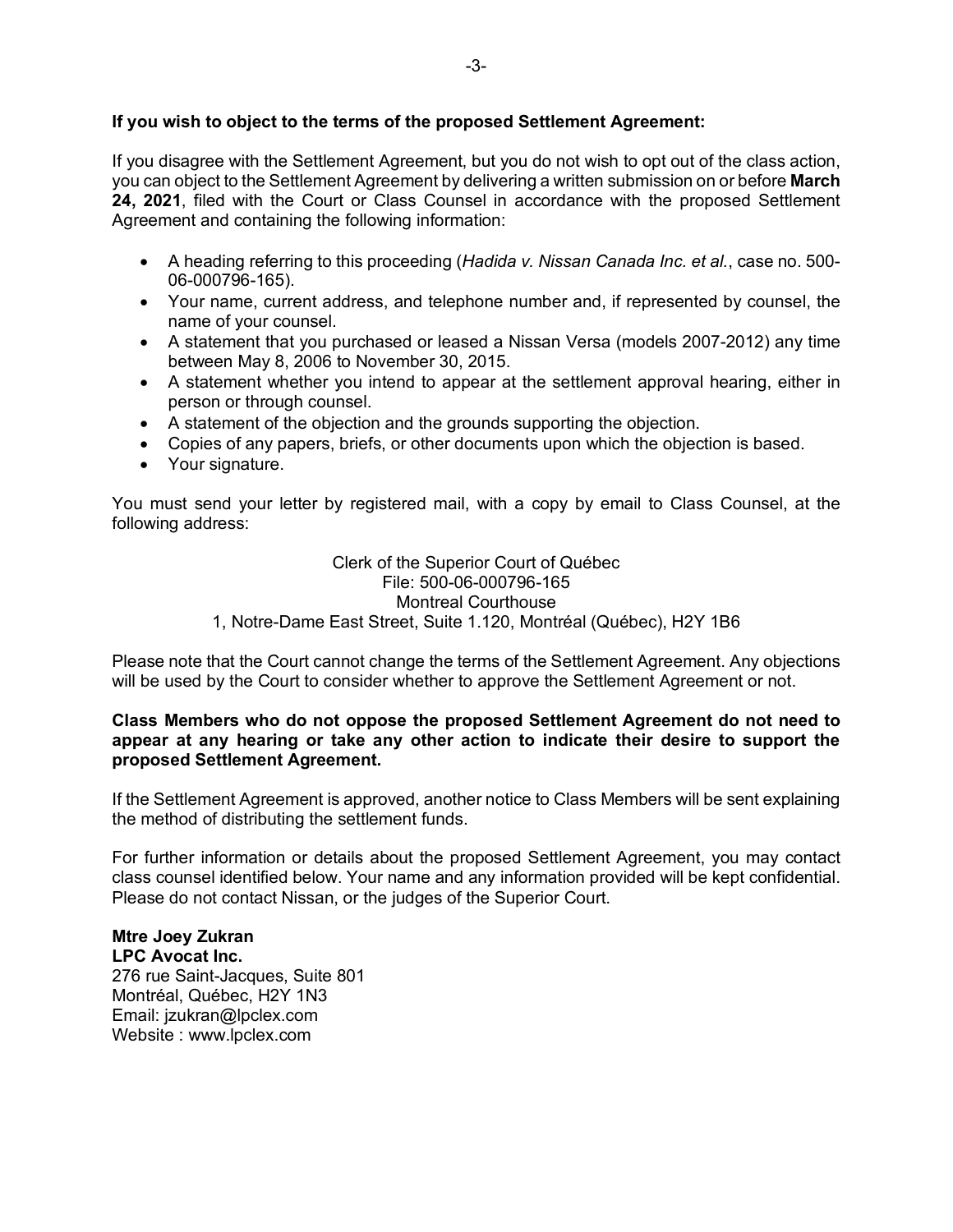### **If you wish to object to the terms of the proposed Settlement Agreement:**

If you disagree with the Settlement Agreement, but you do not wish to opt out of the class action, you can object to the Settlement Agreement by delivering a written submission on or before **March 24, 2021**, filed with the Court or Class Counsel in accordance with the proposed Settlement Agreement and containing the following information:

- A heading referring to this proceeding (*Hadida v. Nissan Canada Inc. et al.*, case no. 500- 06-000796-165).
- Your name, current address, and telephone number and, if represented by counsel, the name of your counsel.
- A statement that you purchased or leased a Nissan Versa (models 2007-2012) any time between May 8, 2006 to November 30, 2015.
- A statement whether you intend to appear at the settlement approval hearing, either in person or through counsel.
- A statement of the objection and the grounds supporting the objection.
- Copies of any papers, briefs, or other documents upon which the objection is based.
- Your signature.

You must send your letter by registered mail, with a copy by email to Class Counsel, at the following address:

> Clerk of the Superior Court of Québec File: 500-06-000796-165 Montreal Courthouse 1, Notre-Dame East Street, Suite 1.120, Montréal (Québec), H2Y 1B6

Please note that the Court cannot change the terms of the Settlement Agreement. Any objections will be used by the Court to consider whether to approve the Settlement Agreement or not.

#### **Class Members who do not oppose the proposed Settlement Agreement do not need to appear at any hearing or take any other action to indicate their desire to support the proposed Settlement Agreement.**

If the Settlement Agreement is approved, another notice to Class Members will be sent explaining the method of distributing the settlement funds.

For further information or details about the proposed Settlement Agreement, you may contact class counsel identified below. Your name and any information provided will be kept confidential. Please do not contact Nissan, or the judges of the Superior Court.

#### **Mtre Joey Zukran LPC Avocat Inc.**

276 rue Saint-Jacques, Suite 801 Montréal, Québec, H2Y 1N3 Email: jzukran@lpclex.com Website : www.lpclex.com